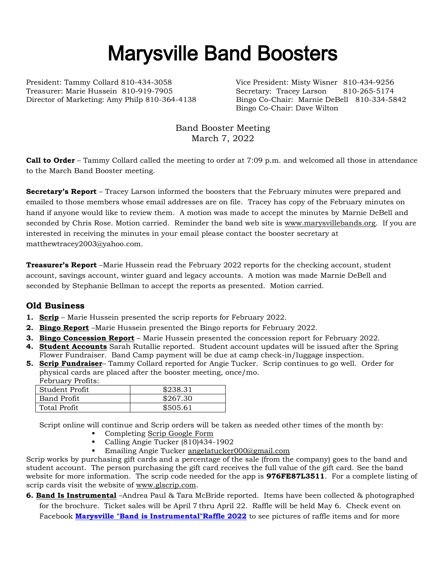# Marysville Band Boosters

President: Tammy Collard 810-434-3058 Vice President: Misty Wisner 810-434-9256 Treasurer: Marie Hussein 810-919-7905 Secretary: Tracey Larson 810-265-5174

Director of Marketing: Amy Philp 810-364-4138 Bingo Co-Chair: Marnie DeBell 810-334-5842 Bingo Co-Chair: Dave Wilton

> Band Booster Meeting March 7, 2022

**Call to Order** – Tammy Collard called the meeting to order at 7:09 p.m. and welcomed all those in attendance to the March Band Booster meeting.

**Secretary's Report** – Tracey Larson informed the boosters that the February minutes were prepared and emailed to those members whose email addresses are on file. Tracey has copy of the February minutes on hand if anyone would like to review them. A motion was made to accept the minutes by Marnie DeBell and seconded by Chris Rose. Motion carried. Reminder the band web site is [www.marysvillebands.org.](http://www.marysvillebands.org/) If you are interested in receiving the minutes in your email please contact the booster secretary at matthewtracey2003@yahoo.com.

**Treasurer's Report** –Marie Hussein read the February 2022 reports for the checking account, student account, savings account, winter guard and legacy accounts. A motion was made Marnie DeBell and seconded by Stephanie Bellman to accept the reports as presented. Motion carried.

## **Old Business**

- **1. Scrip** Marie Hussein presented the scrip reports for February 2022.
- **2. Bingo Report** –Marie Hussein presented the Bingo reports for February 2022.
- **3. Bingo Concession Report** Marie Hussein presented the concession report for February 2022.
- **4. Student Accounts** Sarah Rutallie reported. Student account updates will be issued after the Spring Flower Fundraiser. Band Camp payment will be due at camp check-in/luggage inspection.
- **5. Scrip Fundraiser** Tammy Collard reported for Angie Tucker. Scrip continues to go well. Order for physical cards are placed after the booster meeting, once/mo. February Profits:

| repruary Froms. |          |
|-----------------|----------|
| Student Profit  | \$238.31 |
| Band Profit     | \$267.30 |
| Total Profit    | \$505.61 |

Script online will continue and Scrip orders will be taken as needed other times of the month by:

- Completing [Scrip Google Form](https://forms.gle/Ryvw2wHxTdg1j3Yj6)
- Calling Angie Tucker (810)434-1902
- Emailing Angie Tucker [angelatucker000@gmail.com](mailto:angelatucker000@gmail.com)

Scrip works by purchasing gift cards and a percentage of the sale (from the company) goes to the band and student account. The person purchasing the gift card receives the full value of the gift card. See the band website for more information. The scrip code needed for the app is **976FE87L3511**. For a complete listing of scrip cards visit the website of [www.glscrip.com.](http://www.glscrip.com/)

**6. Band Is Instrumental** –Andrea Paul & Tara McBride reported. Items have been collected & photographed for the brochure. Ticket sales will be April 7 thru April 22. Raffle will be held May 6. Check event on Facebook **[Marysville "Band is Instrumental"Raffle 2022](https://www.facebook.com/events/4946499988734926/?post_id=5180953415289581&acontext=%7B%22source%22%3A%2229%22%2C%22ref_notif_type%22%3A%22admin_plan_mall_activity%22%2C%22action_history%22%3A%22null%22%7D¬if_id=1646719513093277¬if_t=admin_plan_mall_activity&ref=notif)** to see pictures of raffle items and for more